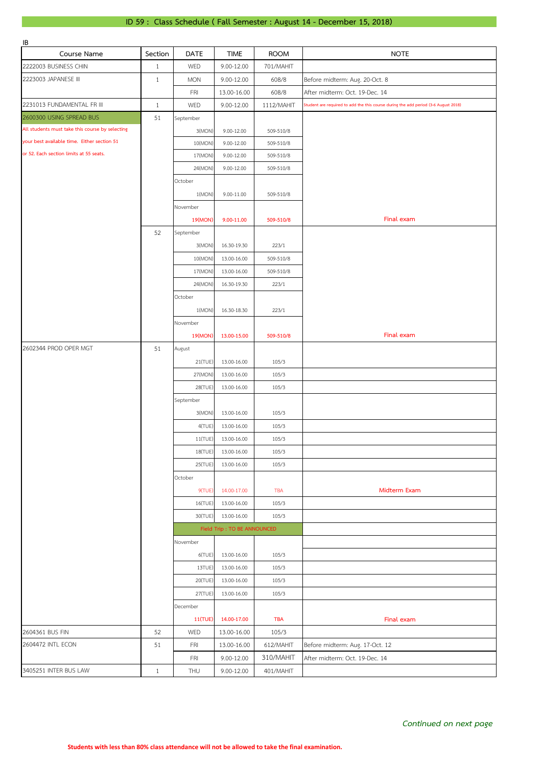## **ID 59 : Class Schedule ( Fall Semester : August 14 - December 15, 2018)**

| IB                                              |              |                |                             |             |                                                                                     |
|-------------------------------------------------|--------------|----------------|-----------------------------|-------------|-------------------------------------------------------------------------------------|
| Course Name                                     | Section      | DATE           | <b>TIME</b>                 | <b>ROOM</b> | <b>NOTE</b>                                                                         |
| 2222003 BUSINESS CHIN                           | $\mathbf{1}$ | WED            | 9.00-12.00                  | 701/MAHIT   |                                                                                     |
| 2223003 JAPANESE III                            | $\mathbf{1}$ | <b>MON</b>     | 9.00-12.00                  | 608/8       | Before midterm: Aug. 20-Oct. 8                                                      |
|                                                 |              | FRI            | 13.00-16.00                 | 608/8       | After midterm: Oct. 19-Dec. 14                                                      |
| 2231013 FUNDAMENTAL FR III                      | $\mathbf{1}$ | WED            | 9.00-12.00                  | 1112/MAHIT  | Student are required to add the this course during the add period (3-6 August 2018) |
| 2600300 USING SPREAD BUS                        | 51           | September      |                             |             |                                                                                     |
| All students must take this course by selecting |              | 3(MON)         | 9.00-12.00                  | 509-510/8   |                                                                                     |
| your best available time. Either section 51     |              | 10(MON)        | 9.00-12.00                  | 509-510/8   |                                                                                     |
| or 52. Each section limits at 55 seats.         |              | 17(MON)        | 9.00-12.00                  | 509-510/8   |                                                                                     |
|                                                 |              |                |                             |             |                                                                                     |
|                                                 |              | 24(MON)        | 9.00-12.00                  | 509-510/8   |                                                                                     |
|                                                 |              | October        |                             |             |                                                                                     |
|                                                 |              | 1(MON)         | 9.00-11.00                  | 509-510/8   |                                                                                     |
|                                                 |              | November       |                             |             |                                                                                     |
|                                                 |              | 19(MON)        | 9.00-11.00                  | 509-510/8   | Final exam                                                                          |
|                                                 | 52           | September      |                             |             |                                                                                     |
|                                                 |              | 3(MON)         | 16.30-19.30                 | 223/1       |                                                                                     |
|                                                 |              | 10(MON)        | 13.00-16.00                 | 509-510/8   |                                                                                     |
|                                                 |              | 17(MON)        | 13.00-16.00                 | 509-510/8   |                                                                                     |
|                                                 |              | 24(MON)        | 16.30-19.30                 | 223/1       |                                                                                     |
|                                                 |              | October        |                             |             |                                                                                     |
|                                                 |              | 1(MON)         | 16.30-18.30                 | 223/1       |                                                                                     |
|                                                 |              | November       |                             |             |                                                                                     |
|                                                 |              |                |                             |             | Final exam                                                                          |
|                                                 |              | 19(MON)        | 13.00-15.00                 | 509-510/8   |                                                                                     |
| 2602344 PROD OPER MGT                           | 51           | August         |                             |             |                                                                                     |
|                                                 |              | 21(TUE)        | 13.00-16.00                 | 105/3       |                                                                                     |
|                                                 |              | 27(MON)        | 13.00-16.00                 | 105/3       |                                                                                     |
|                                                 |              | 28(TUE)        | 13.00-16.00                 | 105/3       |                                                                                     |
|                                                 |              | September      |                             |             |                                                                                     |
|                                                 |              | 3(MON)         | 13.00-16.00                 | 105/3       |                                                                                     |
|                                                 |              | 4(TUE)         | 13.00-16.00                 | 105/3       |                                                                                     |
|                                                 |              | 11(TUE)        | 13.00-16.00                 | 105/3       |                                                                                     |
|                                                 |              | 18(TUE)        | 13.00-16.00                 | 105/3       |                                                                                     |
|                                                 |              | 25(TUE)        | 13.00-16.00                 | 105/3       |                                                                                     |
|                                                 |              | October        |                             |             |                                                                                     |
|                                                 |              | 9(TUE)         | 14.00-17.00                 | <b>TBA</b>  | Midterm Exam                                                                        |
|                                                 |              | 16(TUE)        | 13.00-16.00                 | 105/3       |                                                                                     |
|                                                 |              | 30(TUE)        | 13.00-16.00                 | 105/3       |                                                                                     |
|                                                 |              |                | Field Trip: TO BE ANNOUNCED |             |                                                                                     |
|                                                 |              |                |                             |             |                                                                                     |
|                                                 |              | November       |                             |             |                                                                                     |
|                                                 |              | 6(TUE)         | 13.00-16.00                 | 105/3       |                                                                                     |
|                                                 |              | 13TUE)         | 13.00-16.00                 | 105/3       |                                                                                     |
|                                                 |              | 20(TUE)        | 13.00-16.00                 | 105/3       |                                                                                     |
|                                                 |              | 27(TUE)        | 13.00-16.00                 | 105/3       |                                                                                     |
|                                                 |              | December       |                             |             |                                                                                     |
|                                                 |              | <b>11(TUE)</b> | 14.00-17.00                 | <b>TBA</b>  | Final exam                                                                          |
| 2604361 BUS FIN                                 | 52           | WED            | 13.00-16.00                 | 105/3       |                                                                                     |
| 2604472 INTL ECON                               | 51           | FRI            | 13.00-16.00                 | 612/MAHIT   | Before midterm: Aug. 17-Oct. 12                                                     |
|                                                 |              | <b>FRI</b>     | 9.00-12.00                  | 310/MAHIT   | After midterm: Oct. 19-Dec. 14                                                      |
| 3405251 INTER BUS LAW                           | $1\,$        | THU            | 9.00-12.00                  | 401/MAHIT   |                                                                                     |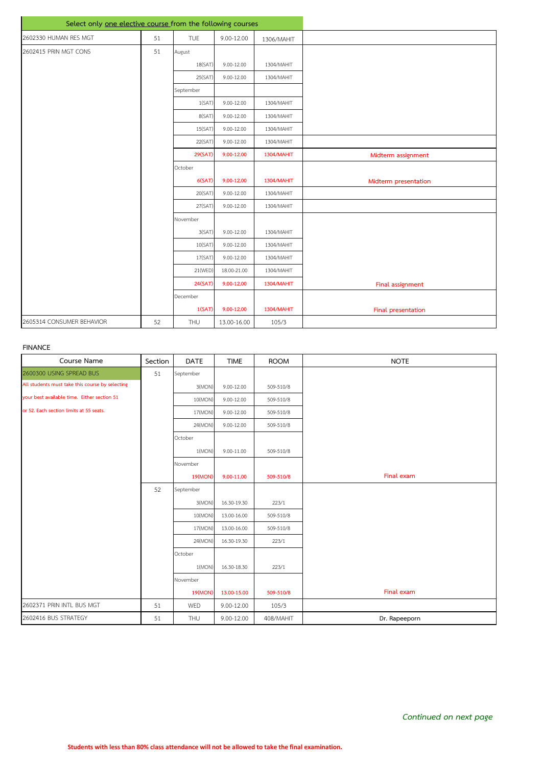| Select only one elective course from the following courses |    |            |                |            |                      |
|------------------------------------------------------------|----|------------|----------------|------------|----------------------|
| 2602330 HUMAN RES MGT                                      | 51 | <b>TUE</b> | 9.00-12.00     | 1306/MAHIT |                      |
| 2602415 PRIN MGT CONS                                      | 51 | August     |                |            |                      |
|                                                            |    | 18(SAT)    | $9.00 - 12.00$ | 1304/MAHIT |                      |
|                                                            |    | 25(SAT)    | $9.00 - 12.00$ | 1304/MAHIT |                      |
|                                                            |    | September  |                |            |                      |
|                                                            |    | 1(SAT)     | $9.00 - 12.00$ | 1304/MAHIT |                      |
|                                                            |    | 8(SAT)     | $9.00 - 12.00$ | 1304/MAHIT |                      |
|                                                            |    | 15(SAT)    | $9.00 - 12.00$ | 1304/MAHIT |                      |
|                                                            |    | 22(SAT)    | $9.00 - 12.00$ | 1304/MAHIT |                      |
|                                                            |    | 29(SAT)    | 9.00-12.00     | 1304/MAHIT | Midterm assignment   |
|                                                            |    | October    |                |            |                      |
|                                                            |    | 6(SAT)     | 9.00-12.00     | 1304/MAHIT | Midterm presentation |
|                                                            |    | 20(SAT)    | $9.00 - 12.00$ | 1304/MAHIT |                      |
|                                                            |    | 27(SAT)    | 9.00-12.00     | 1304/MAHIT |                      |
|                                                            |    | November   |                |            |                      |
|                                                            |    | 3(SAT)     | 9.00-12.00     | 1304/MAHIT |                      |
|                                                            |    | 10(SAT)    | 9.00-12.00     | 1304/MAHIT |                      |
|                                                            |    | 17(SAT)    | $9.00 - 12.00$ | 1304/MAHIT |                      |
|                                                            |    | 21(WED)    | 18.00-21.00    | 1304/MAHIT |                      |
|                                                            |    | 24(SAT)    | 9.00-12.00     | 1304/MAHIT | Final assignment     |
|                                                            |    | December   |                |            |                      |
|                                                            |    | 1(SAT)     | 9.00-12.00     | 1304/MAHIT | Final presentation   |
| 2605314 CONSUMER BEHAVIOR                                  | 52 | THU        | 13.00-16.00    | 105/3      |                      |

## **FINANCE**

| Course Name                                     | Section | <b>DATE</b> | <b>TIME</b>    | <b>ROOM</b> | <b>NOTE</b>   |
|-------------------------------------------------|---------|-------------|----------------|-------------|---------------|
| 2600300 USING SPREAD BUS                        | 51      | September   |                |             |               |
| All students must take this course by selecting |         | 3(MON)      | 9.00-12.00     | 509-510/8   |               |
| your best available time. Either section 51     |         | 10(MON)     | $9.00 - 12.00$ | 509-510/8   |               |
| or 52. Each section limits at 55 seats.         |         | 17(MON)     | $9.00 - 12.00$ | 509-510/8   |               |
|                                                 |         | 24(MON)     | $9.00 - 12.00$ | 509-510/8   |               |
|                                                 |         | October     |                |             |               |
|                                                 |         | 1(MON)      | $9.00 - 11.00$ | 509-510/8   |               |
|                                                 |         | November    |                |             |               |
|                                                 |         | 19(MON)     | 9.00-11.00     | 509-510/8   | Final exam    |
|                                                 | 52      | September   |                |             |               |
|                                                 |         | 3(MON)      | 16.30-19.30    | 223/1       |               |
|                                                 |         | 10(MON)     | 13.00-16.00    | 509-510/8   |               |
|                                                 |         | 17(MON)     | 13.00-16.00    | 509-510/8   |               |
|                                                 |         | 24(MON)     | 16.30-19.30    | 223/1       |               |
|                                                 |         | October     |                |             |               |
|                                                 |         | 1(MON)      | 16.30-18.30    | 223/1       |               |
|                                                 |         | November    |                |             |               |
|                                                 |         | 19(MON)     | 13.00-15.00    | 509-510/8   | Final exam    |
| 2602371 PRIN INTL BUS MGT                       | 51      | WED         | 9.00-12.00     | 105/3       |               |
| 2602416 BUS STRATEGY                            | 51      | THU         | 9.00-12.00     | 408/MAHIT   | Dr. Rapeeporn |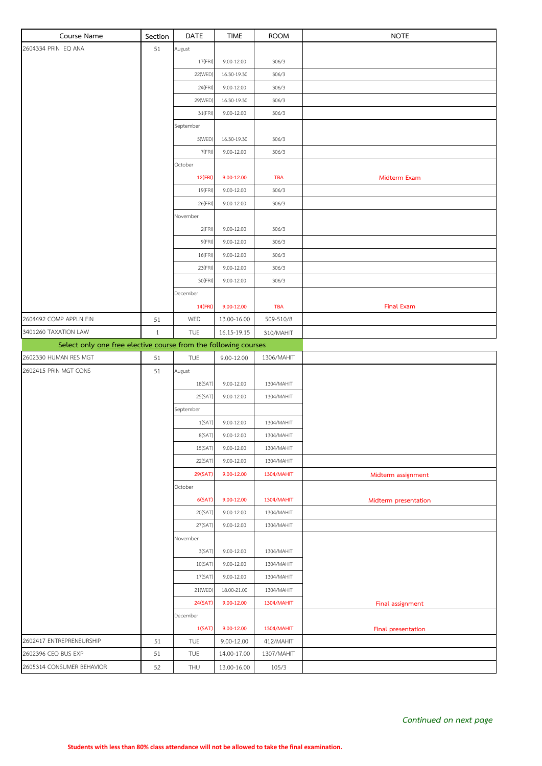| Course Name                                                     | Section      | <b>DATE</b>       | <b>TIME</b>                  | <b>ROOM</b>             | <b>NOTE</b>          |
|-----------------------------------------------------------------|--------------|-------------------|------------------------------|-------------------------|----------------------|
| 2604334 PRIN EQ ANA                                             | 51           | August            |                              |                         |                      |
|                                                                 |              | 17(FRI)           | $9.00 - 12.00$               | 306/3                   |                      |
|                                                                 |              | 22(WED)           | 16.30-19.30                  | 306/3                   |                      |
|                                                                 |              | 24(FRI)           | $9.00 - 12.00$               | 306/3                   |                      |
|                                                                 |              | 29(WED)           | 16.30-19.30                  | 306/3                   |                      |
|                                                                 |              | 31(FRI)           | 9.00-12.00                   | 306/3                   |                      |
|                                                                 |              | September         |                              |                         |                      |
|                                                                 |              | 5(WED)            | 16.30-19.30                  | 306/3                   |                      |
|                                                                 |              | 7(FRI)            | 9.00-12.00                   | 306/3                   |                      |
|                                                                 |              | October           |                              |                         |                      |
|                                                                 |              | 12(FRI)           | 9.00-12.00                   | <b>TBA</b>              | Midterm Exam         |
|                                                                 |              | 19(FRI)           | $9.00 - 12.00$               | 306/3                   |                      |
|                                                                 |              | 26(FRI)           | 9.00-12.00                   | 306/3                   |                      |
|                                                                 |              | November          |                              |                         |                      |
|                                                                 |              | 2(FRI)            | 9.00-12.00                   | 306/3                   |                      |
|                                                                 |              | 9(FRI)<br>16(FRI) | $9.00 - 12.00$<br>9.00-12.00 | 306/3<br>306/3          |                      |
|                                                                 |              | 23(FRI)           | $9.00 - 12.00$               | 306/3                   |                      |
|                                                                 |              | 30(FRI)           | 9.00-12.00                   | 306/3                   |                      |
|                                                                 |              | December          |                              |                         |                      |
|                                                                 |              | 14(FRI)           | 9.00-12.00                   | <b>TBA</b>              | <b>Final Exam</b>    |
| 2604492 COMP APPLN FIN                                          | 51           | WED               | 13.00-16.00                  | 509-510/8               |                      |
| 3401260 TAXATION LAW                                            | $\mathbf{1}$ | TUE               | 16.15-19.15                  | 310/MAHIT               |                      |
| Select only one free elective course from the following courses |              |                   |                              |                         |                      |
| 2602330 HUMAN RES MGT                                           | 51           | TUE               | 9.00-12.00                   | 1306/MAHIT              |                      |
| 2602415 PRIN MGT CONS                                           | 51           | August            |                              |                         |                      |
|                                                                 |              | 18(SAT)           | 9.00-12.00                   | 1304/MAHIT              |                      |
|                                                                 |              | 25(SAT)           | 9.00-12.00                   | 1304/MAHIT              |                      |
|                                                                 |              | September         |                              |                         |                      |
|                                                                 |              | 1(SAT)            | 9.00-12.00                   | 1304/MAHIT              |                      |
|                                                                 |              | 8(SAT)            | 9.00-12.00                   | 1304/MAHIT              |                      |
|                                                                 |              | 15(SAT)           | 9.00-12.00                   | 1304/MAHIT              |                      |
|                                                                 |              | 22(SAT)           | $9.00 - 12.00$               | 1304/MAHIT              |                      |
|                                                                 |              | 29(SAT)           | 9.00-12.00                   | <b>1304/MAHIT</b>       | Midterm assignment   |
|                                                                 |              | October           |                              |                         |                      |
|                                                                 |              | 6(SAT)            | 9.00-12.00                   | 1304/MAHIT              | Midterm presentation |
|                                                                 |              | 20(SAT)           | 9.00-12.00                   | 1304/MAHIT              |                      |
|                                                                 |              | 27(SAT)           | 9.00-12.00                   | 1304/MAHIT              |                      |
|                                                                 |              | November          |                              |                         |                      |
|                                                                 |              | 3(SAT)            | 9.00-12.00                   | 1304/MAHIT              |                      |
|                                                                 |              | 10(SAT)           | 9.00-12.00                   | 1304/MAHIT              |                      |
|                                                                 |              | 17(SAT)           | 9.00-12.00                   | 1304/MAHIT              |                      |
|                                                                 |              | 21(WED)           | 18.00-21.00                  | 1304/MAHIT              |                      |
|                                                                 |              | 24(SAT)           | 9.00-12.00                   | <b>1304/MAHIT</b>       | Final assignment     |
|                                                                 |              | December          |                              |                         |                      |
| 2602417 ENTREPRENEURSHIP                                        |              | 1(SAT)            | 9.00-12.00                   | <b>1304/MAHIT</b>       | Final presentation   |
| 2602396 CEO BUS EXP                                             | 51<br>51     | TUE<br>TUE        | 9.00-12.00<br>14.00-17.00    | 412/MAHIT<br>1307/MAHIT |                      |
| 2605314 CONSUMER BEHAVIOR                                       | 52           | THU               | 13.00-16.00                  | 105/3                   |                      |
|                                                                 |              |                   |                              |                         |                      |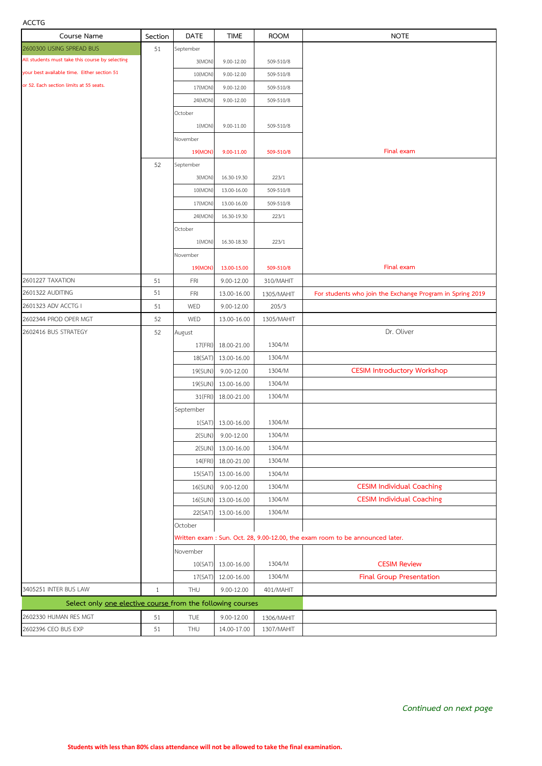## **ACCTG**

| ALLIO                                                      |              |             |                    |             |                                                                               |
|------------------------------------------------------------|--------------|-------------|--------------------|-------------|-------------------------------------------------------------------------------|
| Course Name                                                | Section      | <b>DATE</b> | <b>TIME</b>        | <b>ROOM</b> | <b>NOTE</b>                                                                   |
| 2600300 USING SPREAD BUS                                   | 51           | September   |                    |             |                                                                               |
| All students must take this course by selecting            |              | 3(MON)      | 9.00-12.00         | 509-510/8   |                                                                               |
| your best available time. Either section 51                |              | 10(MON)     | 9.00-12.00         | 509-510/8   |                                                                               |
| or 52. Each section limits at 55 seats.                    |              | 17(MON)     | 9.00-12.00         | 509-510/8   |                                                                               |
|                                                            |              | 24(MON)     | 9.00-12.00         | 509-510/8   |                                                                               |
|                                                            |              | October     |                    |             |                                                                               |
|                                                            |              | 1(MON)      | 9.00-11.00         | 509-510/8   |                                                                               |
|                                                            |              | November    |                    |             |                                                                               |
|                                                            |              | 19(MON)     | 9.00-11.00         | 509-510/8   | Final exam                                                                    |
|                                                            | 52           | September   |                    |             |                                                                               |
|                                                            |              | 3(MON)      | 16.30-19.30        | 223/1       |                                                                               |
|                                                            |              | 10(MON)     | 13.00-16.00        | 509-510/8   |                                                                               |
|                                                            |              | 17(MON)     |                    | 509-510/8   |                                                                               |
|                                                            |              |             | 13.00-16.00        |             |                                                                               |
|                                                            |              | 24(MON)     | 16.30-19.30        | 223/1       |                                                                               |
|                                                            |              | October     |                    |             |                                                                               |
|                                                            |              | 1(MON)      | 16.30-18.30        | 223/1       |                                                                               |
|                                                            |              | November    |                    |             |                                                                               |
|                                                            |              | 19(MON)     | 13.00-15.00        | 509-510/8   | Final exam                                                                    |
| 2601227 TAXATION                                           | 51           | FRI         | 9.00-12.00         | 310/MAHIT   |                                                                               |
| 2601322 AUDITING                                           | 51           | <b>FRI</b>  | 13.00-16.00        | 1305/MAHIT  | For students who join the Exchange Program in Spring 2019                     |
| 2601323 ADV ACCTG I                                        | 51           | WED         | 9.00-12.00         | 205/3       |                                                                               |
| 2602344 PROD OPER MGT                                      | 52           | WED         | 13.00-16.00        | 1305/MAHIT  |                                                                               |
| 2602416 BUS STRATEGY                                       | 52           | August      |                    |             | Dr. Oliver                                                                    |
|                                                            |              | 17(FRI)     | 18.00-21.00        | 1304/M      |                                                                               |
|                                                            |              | 18(SAT)     | 13.00-16.00        | 1304/M      |                                                                               |
|                                                            |              | 19(SUN)     | 9.00-12.00         | 1304/M      | <b>CESIM Introductory Workshop</b>                                            |
|                                                            |              | 19(SUN)     | 13.00-16.00        | 1304/M      |                                                                               |
|                                                            |              | 31(FRI)     | 18.00-21.00        | 1304/M      |                                                                               |
|                                                            |              | September   |                    |             |                                                                               |
|                                                            |              |             | 1(SAT) 13.00-16.00 | 1304/M      |                                                                               |
|                                                            |              | 2(SUN)      | 9.00-12.00         | 1304/M      |                                                                               |
|                                                            |              | 2(SUN)      | 13.00-16.00        | 1304/M      |                                                                               |
|                                                            |              | 14(FRI)     | 18.00-21.00        | 1304/M      |                                                                               |
|                                                            |              | 15(SAT)     | 13.00-16.00        | 1304/M      |                                                                               |
|                                                            |              | 16(SUN)     | 9.00-12.00         | 1304/M      | <b>CESIM Individual Coaching</b>                                              |
|                                                            |              | 16(SUN)     | 13.00-16.00        | 1304/M      | <b>CESIM Individual Coaching</b>                                              |
|                                                            |              |             |                    |             |                                                                               |
|                                                            |              | 22(SAT)     | 13.00-16.00        | 1304/M      |                                                                               |
|                                                            |              | October     |                    |             |                                                                               |
|                                                            |              |             |                    |             | Written exam : Sun. Oct. 28, 9.00-12.00, the exam room to be announced later. |
|                                                            |              | November    |                    |             |                                                                               |
|                                                            |              | 10(SAT)     | 13.00-16.00        | 1304/M      | <b>CESIM Review</b>                                                           |
|                                                            |              | 17(SAT)     | 12.00-16.00        | 1304/M      | <b>Final Group Presentation</b>                                               |
| 3405251 INTER BUS LAW                                      | $\mathbf{1}$ | THU         | 9.00-12.00         | 401/MAHIT   |                                                                               |
| Select only one elective course from the following courses |              |             |                    |             |                                                                               |
| 2602330 HUMAN RES MGT                                      | 51           | TUE         | 9.00-12.00         | 1306/MAHIT  |                                                                               |
| 2602396 CEO BUS EXP                                        | 51           | THU         | 14.00-17.00        | 1307/MAHIT  |                                                                               |